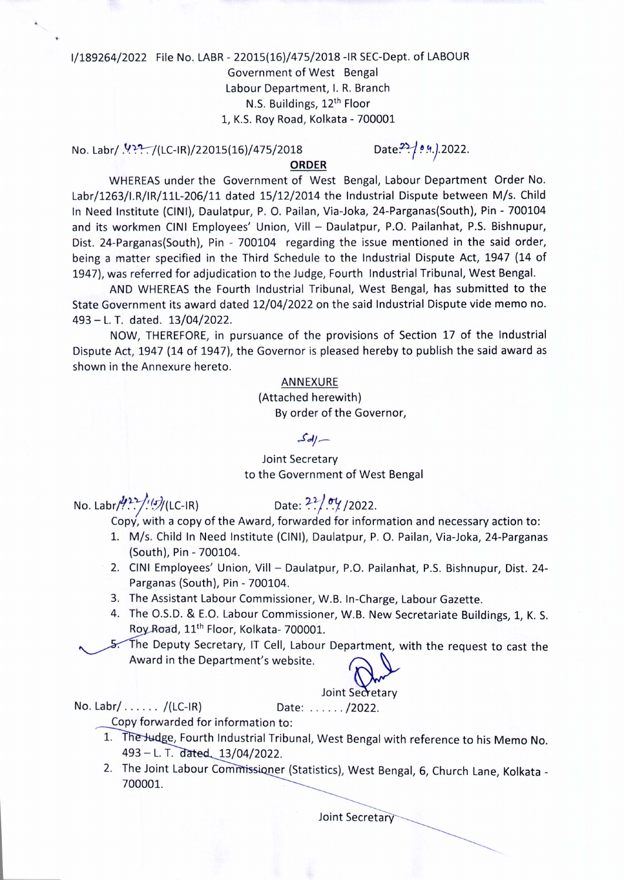# 1/189264/2022 File No. LABR- 22015(16)/475/2018 -IR SEC-Dept. of LABOUR Government of West Bengal Labour Department, I. R. Branch N.S. Buildings, 12th Floor 1, K.S. Roy Road, Kolkata - 700001

No. Labr/ .~~:-:t(LC-IR)/22015(16)/475/2018

Date<sup>22</sup>/ 0.4.).2022.

**ORDER**

WHEREAS under the Government of West Bengal, Labour Department Order No. Labr/1263/I.R/IR/11L-206/11 dated 15/12/2014 the Industrial Dispute between M/s. Child In Need Institute (CINI), Daulatpur, P. O. Pailan, Via-Joka, 24-Parganas(South), Pin - 700104 and its workmen CINI Employees' Union, Vill - Daulatpur, P.O. Pailanhat, P.S. Bishnupur, Dist. 24-Parganas(South), Pin - 700104 regarding the issue mentioned in the said order, being a matter specified in the Third Schedule to the Industrial Dispute Act, 1947 (14 of 1947), was referred for adjudication to the Judge, Fourth Industrial Tribunal, West Bengal.

AND WHEREAS the Fourth Industrial Tribunal, West Bengal, has submitted to the State Government its award dated 12/04/2022 on the said Industrial Dispute vide memo no. 493 - L. T. dated. 13/04/2022.

NOW, THEREFORE, in pursuance of the provisions of Section 17 of the Industrial Dispute Act, 1947 (14 of 1947), the Governor is pleased hereby to publish the said award as shown in the Annexure hereto.

#### ANNEXURE

(Attached herewith) By order of the Governor,

#### *J'dj \_\_*

## Joint Secretary to the Government of West Bengal

No. Labr/9?-i'(~(LC-IR) Date: *"J:7.":y. /2022.*

Copy, with a copy of the Award, forwarded for information and necessary action to:

- 1. M/s. Child In Need Institute (CINI), Daulatpur, P. O. Pailan, Via-Joka, 24-Parganas (South), Pin - 700104.
- 2. CINI Employees' Union, Vill Daulatpur, P.O. Pailanhat, P.S. Bishnupur, Dist. 24-Parganas (South), Pin - 700104.
- 3. The Assistant Labour Commissioner, W.B. In-Charge, Labour Gazette.
- 4. The O.S.D. & E.O. Labour Commissioner, W.B. New Secretariate Buildings, 1, K. S. Roy Road, 11<sup>th</sup> Floor, Kolkata- 700001.
- $5.$  The Deputy Secretary, IT Cell, Labour Department, with the request to cast the Award in the Department's website.



## Joint Secretary

No. Labr/ . . . . . . /(LC-IR) Date: . . . . . . . /2022.

Copy forwarded for information to:

- 1. The Judge, Fourth Industrial Tribunal, West Bengal with reference to his Memo No. 493 - L. T. dated, 13/04/2022.
- 2. The Joint Labour Commissioner (Statistics), West Bengal, 6, Church Lane, Kolkata -700001.

Joint Secretary